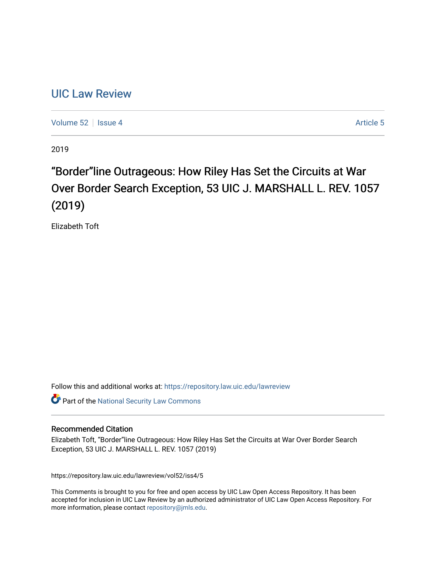# [UIC Law Review](https://repository.law.uic.edu/lawreview)

[Volume 52](https://repository.law.uic.edu/lawreview/vol52) Setsue 4 [Article 5](https://repository.law.uic.edu/lawreview/vol52/iss4/5) Article 5

2019

# "Border"line Outrageous: How Riley Has Set the Circuits at War Over Border Search Exception, 53 UIC J. MARSHALL L. REV. 1057 (2019)

Elizabeth Toft

Follow this and additional works at: [https://repository.law.uic.edu/lawreview](https://repository.law.uic.edu/lawreview?utm_source=repository.law.uic.edu%2Flawreview%2Fvol52%2Fiss4%2F5&utm_medium=PDF&utm_campaign=PDFCoverPages) 

Part of the [National Security Law Commons](http://network.bepress.com/hgg/discipline/1114?utm_source=repository.law.uic.edu%2Flawreview%2Fvol52%2Fiss4%2F5&utm_medium=PDF&utm_campaign=PDFCoverPages)

## Recommended Citation

Elizabeth Toft, "Border"line Outrageous: How Riley Has Set the Circuits at War Over Border Search Exception, 53 UIC J. MARSHALL L. REV. 1057 (2019)

https://repository.law.uic.edu/lawreview/vol52/iss4/5

This Comments is brought to you for free and open access by UIC Law Open Access Repository. It has been accepted for inclusion in UIC Law Review by an authorized administrator of UIC Law Open Access Repository. For more information, please contact [repository@jmls.edu.](mailto:repository@jmls.edu)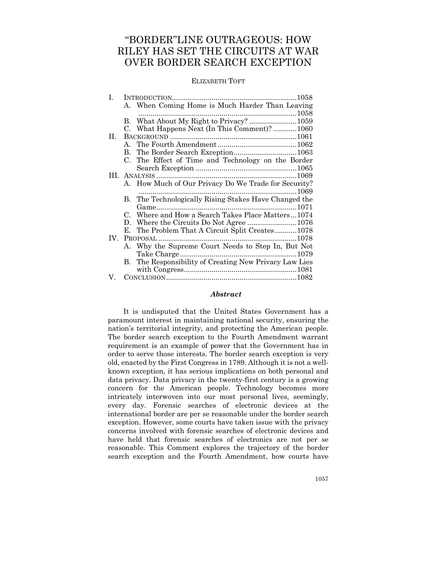## "BORDER"LINE OUTRAGEOUS: HOW RILEY HAS SET THE CIRCUITS AT WAR OVER BORDER SEARCH EXCEPTION

#### ELIZABETH TOFT

| Ι.                |    |                                                        |
|-------------------|----|--------------------------------------------------------|
|                   |    | A. When Coming Home is Much Harder Than Leaving        |
|                   |    |                                                        |
|                   |    | B. What About My Right to Privacy? 1059                |
|                   |    | C. What Happens Next (In This Comment)?1060            |
| П.                |    |                                                        |
|                   |    |                                                        |
|                   | В. |                                                        |
|                   |    | C. The Effect of Time and Technology on the Border     |
|                   |    |                                                        |
|                   |    |                                                        |
|                   |    | A. How Much of Our Privacy Do We Trade for Security?   |
|                   |    |                                                        |
|                   |    | B. The Technologically Rising Stakes Have Changed the  |
|                   |    |                                                        |
|                   |    | C. Where and How a Search Takes Place Matters1074      |
|                   |    |                                                        |
|                   |    | E. The Problem That A Circuit Split Creates1078        |
| $\mathbf{IV}_{-}$ |    |                                                        |
|                   |    | A. Why the Supreme Court Needs to Step In, But Not     |
|                   |    |                                                        |
|                   |    | B. The Responsibility of Creating New Privacy Law Lies |
|                   |    |                                                        |
| V.                |    |                                                        |

#### *Abstract*

It is undisputed that the United States Government has a paramount interest in maintaining national security, ensuring the nation's territorial integrity, and protecting the American people. The border search exception to the Fourth Amendment warrant requirement is an example of power that the Government has in order to serve those interests. The border search exception is very old, enacted by the First Congress in 1789. Although it is not a wellknown exception, it has serious implications on both personal and data privacy. Data privacy in the twenty-first century is a growing concern for the American people. Technology becomes more intricately interwoven into our most personal lives, seemingly, every day. Forensic searches of electronic devices at the international border are per se reasonable under the border search exception. However, some courts have taken issue with the privacy concerns involved with forensic searches of electronic devices and have held that forensic searches of electronics are not per se reasonable. This Comment explores the trajectory of the border search exception and the Fourth Amendment, how courts have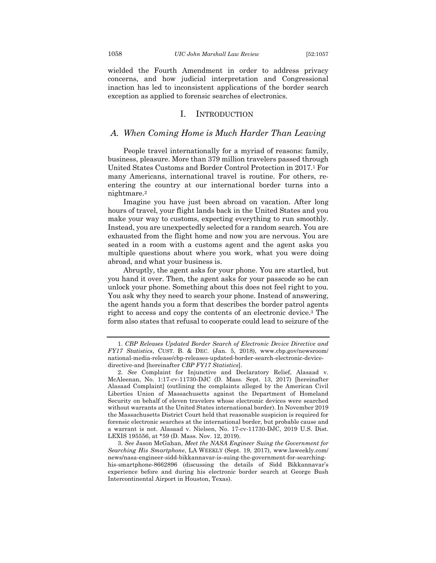wielded the Fourth Amendment in order to address privacy concerns, and how judicial interpretation and Congressional inaction has led to inconsistent applications of the border search exception as applied to forensic searches of electronics.

#### I. INTRODUCTION

## *A. When Coming Home is Much Harder Than Leaving*

People travel internationally for a myriad of reasons: family, business, pleasure. More than 379 million travelers passed through United States Customs and Border Control Protection in 2017.1 For many Americans, international travel is routine. For others, reentering the country at our international border turns into a nightmare.2

Imagine you have just been abroad on vacation. After long hours of travel, your flight lands back in the United States and you make your way to customs, expecting everything to run smoothly. Instead, you are unexpectedly selected for a random search. You are exhausted from the flight home and now you are nervous. You are seated in a room with a customs agent and the agent asks you multiple questions about where you work, what you were doing abroad, and what your business is.

Abruptly, the agent asks for your phone. You are startled, but you hand it over. Then, the agent asks for your passcode so he can unlock your phone. Something about this does not feel right to you. You ask why they need to search your phone. Instead of answering, the agent hands you a form that describes the border patrol agents right to access and copy the contents of an electronic device.3 The form also states that refusal to cooperate could lead to seizure of the

<sup>1.</sup> *CBP Releases Updated Border Search of Electronic Device Directive and FY17 Statistics*, CUST. B. & DEC. (Jan. 5, 2018), www.cbp.gov/newsroom/ national-media-release/cbp-releases-updated-border-search-electronic-devicedirective-and [hereinafter *CBP FY17 Statistics*].

<sup>2.</sup> *See* Complaint for Injunctive and Declaratory Relief, Alasaad v. McAleenan, No. 1:17-cv-11730-DJC (D. Mass. Sept. 13, 2017) [hereinafter Alasaad Complaint] (outlining the complaints alleged by the American Civil Liberties Union of Massachusetts against the Department of Homeland Security on behalf of eleven travelers whose electronic devices were searched without warrants at the United States international border). In November 2019 the Massachusetts District Court held that reasonable suspicion is required for forensic electronic searches at the international border, but probable cause and a warrant is not. Alasaad v. Nielsen, No. 17-cv-11730-DJC, 2019 U.S. Dist. LEXIS 195556, at \*59 (D. Mass. Nov. 12, 2019).

<sup>3.</sup> *See* Jason McGahan, *Meet the NASA Engineer Suing the Government for Searching His Smartphone*, LA WEEKLY (Sept. 19, 2017), www.laweekly.com/ news/nasa-engineer-sidd-bikkannavar-is-suing-the-government-for-searchinghis-smartphone-8662896 (discussing the details of Sidd Bikkannavar's experience before and during his electronic border search at George Bush Intercontinental Airport in Houston, Texas).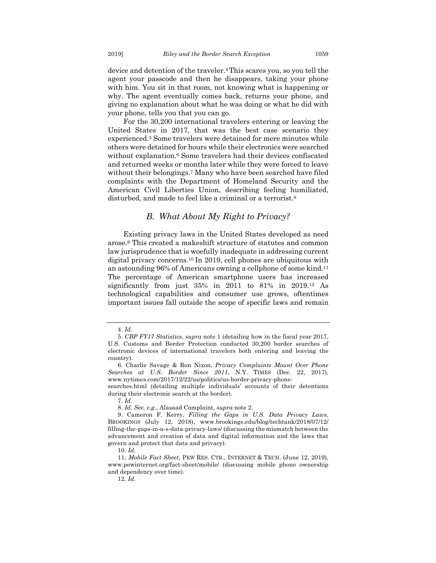device and detention of the traveler.4This scares you, so you tell the agent your passcode and then he disappears, taking your phone with him. You sit in that room, not knowing what is happening or why. The agent eventually comes back, returns your phone, and giving no explanation about what he was doing or what he did with your phone, tells you that you can go.

For the 30,200 international travelers entering or leaving the United States in 2017, that was the best case scenario they experienced.5 Some travelers were detained for mere minutes while others were detained for hours while their electronics were searched without explanation.6 Some travelers had their devices confiscated and returned weeks or months later while they were forced to leave without their belongings.7 Many who have been searched have filed complaints with the Department of Homeland Security and the American Civil Liberties Union, describing feeling humiliated, disturbed, and made to feel like a criminal or a terrorist.8

## *B. What About My Right to Privacy?*

Existing privacy laws in the United States developed as need arose.9 This created a makeshift structure of statutes and common law jurisprudence that is woefully inadequate in addressing current digital privacy concerns.10 In 2019, cell phones are ubiquitous with an astounding 96% of Americans owning a cellphone of some kind.11 The percentage of American smartphone users has increased significantly from just 35% in 2011 to 81% in 2019.12 As technological capabilities and consumer use grows, oftentimes important issues fall outside the scope of specific laws and remain

<sup>4.</sup> *Id.*

<sup>5.</sup> *CBP FY17 Statistics*, *supra* note 1 (detailing how in the fiscal year 2017, U.S. Customs and Border Protection conducted 30,200 border searches of electronic devices of international travelers both entering and leaving the country).

<sup>6.</sup> Charlie Savage & Ron Nixon, *Privacy Complaints Mount Over Phone Searches at U.S. Border Since 2011*, N.Y. TIMES (Dec. 22, 2017), www.nytimes.com/2017/12/22/us/politics/us-border-privacy-phone-

searches.html (detailing multiple individuals' accounts of their detentions during their electronic search at the border).

<sup>7.</sup> *Id.*

<sup>8.</sup> *Id. See, e.g.*, Alasaad Complaint, *supra* note 2.

<sup>9.</sup> Cameron F. Kerry, *Filling the Gaps in U.S. Data Privacy Laws*, BROOKINGS (July 12, 2018), www.brookings.edu/blog/techtank/2018/07/12/ filling-the-gaps-in-u-s-data-privacy-laws/ (discussing the mismatch between the advancement and creation of data and digital information and the laws that govern and protect that data and privacy).

<sup>10.</sup> *Id*.

<sup>11.</sup> *Mobile Fact Sheet*, PEW RES. CTR., INTERNET & TECH. (June 12, 2019), www.pewinternet.org/fact-sheet/mobile/ (discussing mobile phone ownership and dependency over time).

<sup>12.</sup> *Id.*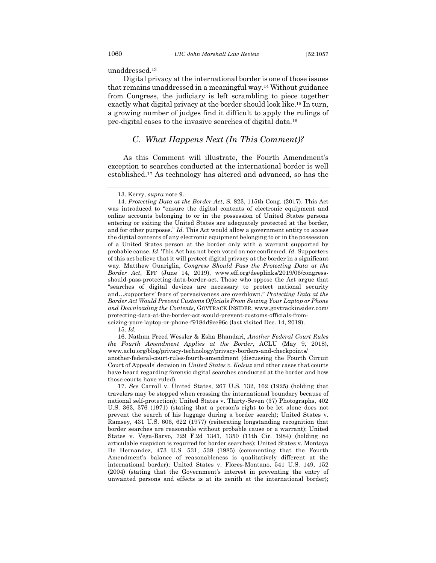unaddressed.13

Digital privacy at the international border is one of those issues that remains unaddressed in a meaningful way.14 Without guidance from Congress, the judiciary is left scrambling to piece together exactly what digital privacy at the border should look like.15 In turn, a growing number of judges find it difficult to apply the rulings of pre-digital cases to the invasive searches of digital data.16

## *C. What Happens Next (In This Comment)?*

As this Comment will illustrate, the Fourth Amendment's exception to searches conducted at the international border is well established.17 As technology has altered and advanced, so has the

15. *Id.*

16. Nathan Freed Wessler & Esha Bhandari, *Another Federal Court Rules the Fourth Amendment Applies at the Border*, ACLU (May 9, 2018), www.aclu.org/blog/privacy-technology/privacy-borders-and-checkpoints/ another-federal-court-rules-fourth-amendment (discussing the Fourth Circuit Court of Appeals' decision in *United States v. Kolsuz* and other cases that courts have heard regarding forensic digital searches conducted at the border and how those courts have ruled).

17. *See* Carroll v. United States, 267 U.S. 132, 162 (1925) (holding that travelers may be stopped when crossing the international boundary because of national self-protection); United States v. Thirty-Seven (37) Photographs, 402 U.S. 363, 376 (1971) (stating that a person's right to be let alone does not prevent the search of his luggage during a border search); United States v. Ramsey, 431 U.S. 606, 622 (1977) (reiterating longstanding recognition that border searches are reasonable without probable cause or a warrant); United States v. Vega-Barvo, 729 F.2d 1341, 1350 (11th Cir. 1984) (holding no articulable suspicion is required for border searches); United States v. Montoya De Hernandez, 473 U.S. 531, 538 (1985) (commenting that the Fourth Amendment's balance of reasonableness is qualitatively different at the international border); United States v. Flores-Montano, 541 U.S. 149, 152 (2004) (stating that the Government's interest in preventing the entry of unwanted persons and effects is at its zenith at the international border);

<sup>13.</sup> Kerry, *supra* note 9.

<sup>14.</sup> *Protecting Data at the Border Act*, S. 823, 115th Cong. (2017). This Act was introduced to "ensure the digital contents of electronic equipment and online accounts belonging to or in the possession of United States persons entering or exiting the United States are adequately protected at the border, and for other purposes." *Id.* This Act would allow a government entity to access the digital contents of any electronic equipment belonging to or in the possession of a United States person at the border only with a warrant supported by probable cause. *Id.* This Act has not been voted on nor confirmed. *Id.* Supporters of this act believe that it will protect digital privacy at the border in a significant way. Matthew Guariglia, *Congress Should Pass the Protecting Data at the Border Act*, EFF (June 14, 2019), www.eff.org/deeplinks/2019/06/congressshould-pass-protecting-data-border-act. Those who oppose the Act argue that "searches of digital devices are necessary to protect national security and…supporters' fears of pervasiveness are overblown." *Protecting Data at the Border Act Would Prevent Customs Officials From Seizing Your Laptop or Phone and Downloading the Contents*, GOVTRACK INSIDER, www.govtrackinsider.com/ protecting-data-at-the-border-act-would-prevent-customs-officials-fromseizing-your-laptop-or-phone-f918dd9ce96c (last visited Dec. 14, 2019).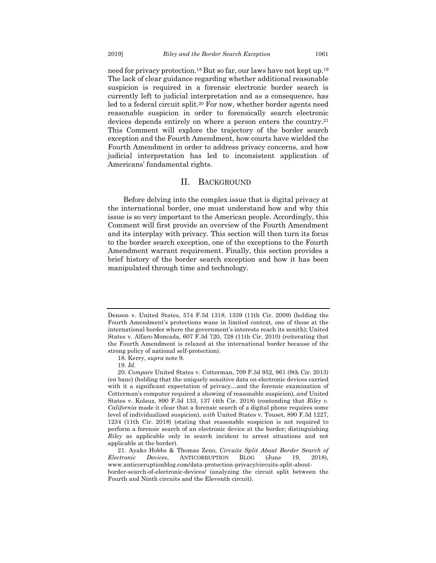need for privacy protection.18 But so far, our laws have not kept up.19 The lack of clear guidance regarding whether additional reasonable suspicion is required in a forensic electronic border search is currently left to judicial interpretation and as a consequence, has

led to a federal circuit split.20 For now, whether border agents need reasonable suspicion in order to forensically search electronic devices depends entirely on where a person enters the country.21 This Comment will explore the trajectory of the border search exception and the Fourth Amendment, how courts have wielded the Fourth Amendment in order to address privacy concerns, and how judicial interpretation has led to inconsistent application of Americans' fundamental rights.

#### II. BACKGROUND

Before delving into the complex issue that is digital privacy at the international border, one must understand how and why this issue is so very important to the American people. Accordingly, this Comment will first provide an overview of the Fourth Amendment and its interplay with privacy. This section will then turn its focus to the border search exception, one of the exceptions to the Fourth Amendment warrant requirement. Finally, this section provides a brief history of the border search exception and how it has been manipulated through time and technology.

Denson v. United States, 574 F.3d 1318, 1339 (11th Cir. 2009) (holding the Fourth Amendment's protections wane in limited context, one of those at the international border where the government's interests reach its zenith); United States v. Alfaro-Moncada, 607 F.3d 720, 728 (11th Cir. 2010) (reiterating that the Fourth Amendment is relaxed at the international border because of the strong policy of national self-protection).

<sup>18.</sup> Kerry, *supra* note 9.

<sup>19.</sup> *Id.*

<sup>20.</sup> *Compare* United States v. Cotterman, 709 F.3d 952, 961 (9th Cir. 2013) (en banc) (holding that the uniquely sensitive data on electronic devices carried with it a significant expectation of privacy…and the forensic examination of Cotterman's computer required a showing of reasonable suspicion), *and* United States v. Kolsuz, 890 F.3d 133, 137 (4th Cir. 2018) (contending that *Riley v. California* made it clear that a forensic search of a digital phone requires some level of individualized suspicion), *with* United States v. Touset, 890 F.3d 1227, 1234 (11th Cir. 2018) (stating that reasonable suspicion is not required to perform a forensic search of an electronic device at the border; distinguishing *Riley* as applicable only in search incident to arrest situations and not applicable at the border).

<sup>21.</sup> Ayako Hobbs & Thomas Zeno, *Circuits Split About Border Search of Electronic Devices*, ANTICORRUPTION BLOG (June 19, 2018), www.anticorruptionblog.com/data-protection-privacy/circuits-split-aboutborder-search-of-electronic-devices/ (analyzing the circuit split between the Fourth and Ninth circuits and the Eleventh circuit).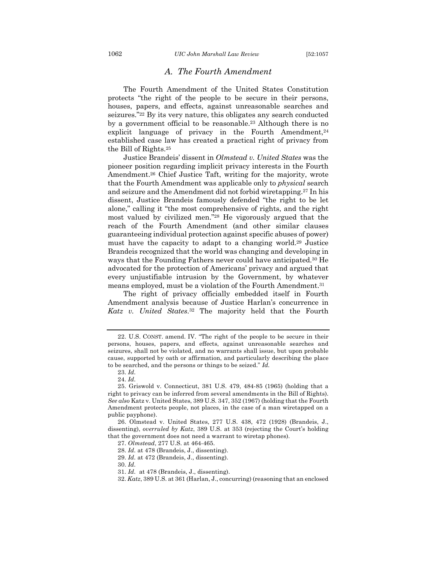## *A. The Fourth Amendment*

The Fourth Amendment of the United States Constitution protects "the right of the people to be secure in their persons, houses, papers, and effects, against unreasonable searches and seizures."22 By its very nature, this obligates any search conducted by a government official to be reasonable.23 Although there is no explicit language of privacy in the Fourth Amendment,<sup>24</sup> established case law has created a practical right of privacy from the Bill of Rights.25

Justice Brandeis' dissent in *Olmstead v. United States* was the pioneer position regarding implicit privacy interests in the Fourth Amendment.26 Chief Justice Taft, writing for the majority, wrote that the Fourth Amendment was applicable only to *physical* search and seizure and the Amendment did not forbid wiretapping.27 In his dissent, Justice Brandeis famously defended "the right to be let alone," calling it "the most comprehensive of rights, and the right most valued by civilized men."28 He vigorously argued that the reach of the Fourth Amendment (and other similar clauses guaranteeing individual protection against specific abuses of power) must have the capacity to adapt to a changing world.29 Justice Brandeis recognized that the world was changing and developing in ways that the Founding Fathers never could have anticipated.30 He advocated for the protection of Americans' privacy and argued that every unjustifiable intrusion by the Government, by whatever means employed, must be a violation of the Fourth Amendment.31

The right of privacy officially embedded itself in Fourth Amendment analysis because of Justice Harlan's concurrence in *Katz v. United States*.32 The majority held that the Fourth

<sup>22.</sup> U.S. CONST. amend. IV. "The right of the people to be secure in their persons, houses, papers, and effects, against unreasonable searches and seizures, shall not be violated, and no warrants shall issue, but upon probable cause, supported by oath or affirmation, and particularly describing the place to be searched, and the persons or things to be seized." *Id.*

<sup>23.</sup> *Id.*

<sup>24.</sup> *Id.*

<sup>25.</sup> Griswold v. Connecticut, 381 U.S. 479, 484-85 (1965) (holding that a right to privacy can be inferred from several amendments in the Bill of Rights). *See also* Katz v. United States, 389 U.S. 347, 352 (1967) (holding that the Fourth Amendment protects people, not places, in the case of a man wiretapped on a public payphone).

<sup>26.</sup> Olmstead v. United States, 277 U.S. 438, 472 (1928) (Brandeis, J., dissenting), *overruled by Katz*, 389 U.S. at 353 (rejecting the Court's holding that the government does not need a warrant to wiretap phones).

<sup>27.</sup> *Olmstead*, 277 U.S. at 464-465.

<sup>28.</sup> *Id.* at 478 (Brandeis, J., dissenting).

<sup>29.</sup> *Id.* at 472 (Brandeis, J., dissenting).

<sup>30.</sup> *Id.*

<sup>31.</sup> *Id.* at 478 (Brandeis, J., dissenting).

<sup>32.</sup> *Katz*, 389 U.S. at 361 (Harlan, J., concurring) (reasoning that an enclosed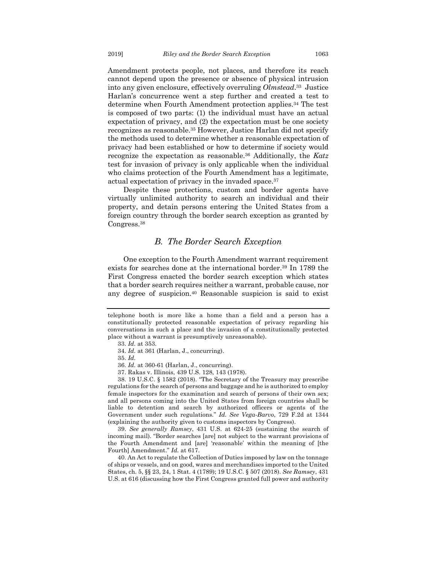Amendment protects people, not places, and therefore its reach cannot depend upon the presence or absence of physical intrusion into any given enclosure, effectively overruling *Olmstead*.33 Justice Harlan's concurrence went a step further and created a test to determine when Fourth Amendment protection applies.34 The test is composed of two parts: (1) the individual must have an actual expectation of privacy, and (2) the expectation must be one society recognizes as reasonable.35 However, Justice Harlan did not specify the methods used to determine whether a reasonable expectation of privacy had been established or how to determine if society would recognize the expectation as reasonable.36 Additionally, the *Katz* test for invasion of privacy is only applicable when the individual who claims protection of the Fourth Amendment has a legitimate, actual expectation of privacy in the invaded space.37

Despite these protections, custom and border agents have virtually unlimited authority to search an individual and their property, and detain persons entering the United States from a foreign country through the border search exception as granted by Congress.38

## *B. The Border Search Exception*

One exception to the Fourth Amendment warrant requirement exists for searches done at the international border.39 In 1789 the First Congress enacted the border search exception which states that a border search requires neither a warrant, probable cause, nor any degree of suspicion.40 Reasonable suspicion is said to exist

- 34. *Id.* at 361 (Harlan, J., concurring).
- 35. *Id.*
- 36. *Id.* at 360-61 (Harlan, J., concurring).
- 37. Rakas v. Illinois, 439 U.S. 128, 143 (1978).

38. 19 U.S.C. § 1582 (2018). "The Secretary of the Treasury may prescribe regulations for the search of persons and baggage and he is authorized to employ female inspectors for the examination and search of persons of their own sex; and all persons coming into the United States from foreign countries shall be liable to detention and search by authorized officers or agents of the Government under such regulations." *Id. See Vega-Barvo*, 729 F.2d at 1344 (explaining the authority given to customs inspectors by Congress).

39. *See generally Ramsey*, 431 U.S. at 624-25 (sustaining the search of incoming mail). "Border searches [are] not subject to the warrant provisions of the Fourth Amendment and [are] 'reasonable' within the meaning of [the Fourth] Amendment." *Id.* at 617.

40. An Act to regulate the Collection of Duties imposed by law on the tonnage of ships or vessels, and on good, wares and merchandises imported to the United States, ch. 5, §§ 23, 24, 1 Stat. 4 (1789); 19 U.S.C. § 507 (2018). *See Ramsey*, 431 U.S. at 616 (discussing how the First Congress granted full power and authority

telephone booth is more like a home than a field and a person has a constitutionally protected reasonable expectation of privacy regarding his conversations in such a place and the invasion of a constitutionally protected place without a warrant is presumptively unreasonable).

<sup>33.</sup> *Id.* at 353.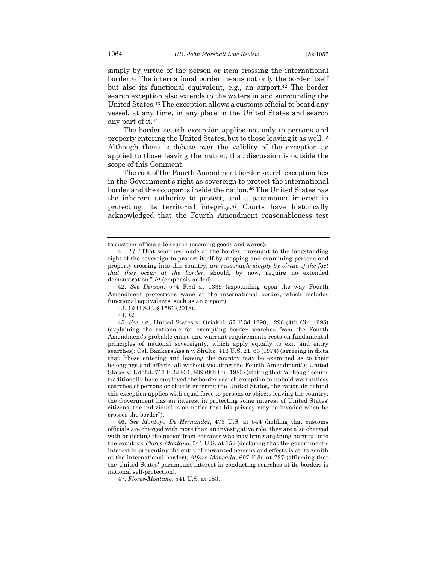simply by virtue of the person or item crossing the international border.41 The international border means not only the border itself but also its functional equivalent, e.g., an airport.42 The border search exception also extends to the waters in and surrounding the United States.43 The exception allows a customs official to board any vessel, at any time, in any place in the United States and search any part of it.44

The border search exception applies not only to persons and property entering the United States, but to those leaving it as well.45 Although there is debate over the validity of the exception as applied to those leaving the nation, that discussion is outside the scope of this Comment.

The root of the Fourth Amendment border search exception lies in the Government's right as sovereign to protect the international border and the occupants inside the nation.46 The United States has the inherent authority to protect, and a paramount interest in protecting, its territorial integrity.47 Courts have historically acknowledged that the Fourth Amendment reasonableness test

to customs officials to search incoming goods and wares).

<sup>41.</sup> *Id.* "That searches made at the border, pursuant to the longstanding right of the sovereign to protect itself by stopping and examining persons and property crossing into this country, *are reasonable simply by virtue of the fact that they occur at the border*, should, by now, require no extended demonstration." *Id* (emphasis added)*.*

<sup>42.</sup> *See Denson*, 574 F.3d at 1339 (expounding upon the way Fourth Amendment protections wane at the international border, which includes functional equivalents, such as an airport).

<sup>43.</sup> 19 U.S.C. § 1581 (2018).

<sup>44.</sup> *Id.*

<sup>45.</sup> *See e.g.*, United States v. Oriakhi, 57 F.3d 1290, 1296 (4th Cir. 1995) (explaining the rationale for exempting border searches from the Fourth Amendment's probable cause and warrant requirements rests on fundamental principles of national sovereignty, which apply equally to exit and entry searches); Cal. Bankers Ass'n v. Shultz, 416 U.S. 21, 63 (1974) (agreeing in dicta that "those entering and leaving the country may be examined as to their belongings and effects, all without violating the Fourth Amendment"); United States v. Udofot, 711 F.2d 831, 839 (8th Cir. 1983) (stating that "although courts traditionally have employed the border search exception to uphold warrantless searches of persons or objects entering the United States, the rationale behind this exception applies with equal force to persons or objects leaving the country: the Government has an interest in protecting some interest of United States' citizens, the individual is on notice that his privacy may be invaded when he crosses the border").

<sup>46.</sup> *See Montoya De Hernandez*, 473 U.S. at 544 (holding that customs officials are charged with more than an investigative role, they are also charged with protecting the nation from entrants who may bring anything harmful into the country); *Flores-Montano*, 541 U.S. at 152 (declaring that the government's interest in preventing the entry of unwanted persons and effects is at its zenith at the international border); *Alfaro-Moncada*, 607 F.3d at 727 (affirming that the United States' paramount interest in conducting searches at its borders is national self-protection).

<sup>47.</sup> *Flores-Montano*, 541 U.S. at 153.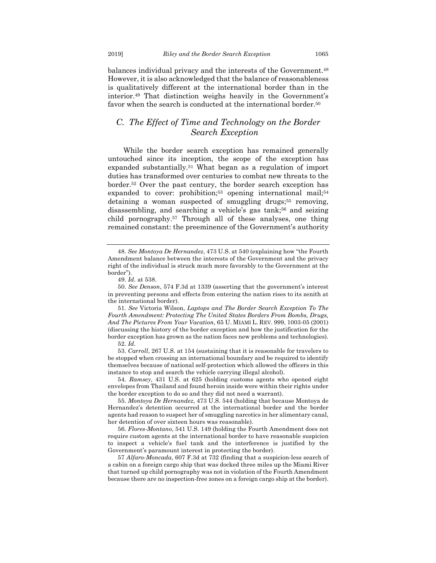balances individual privacy and the interests of the Government.<sup>48</sup> However, it is also acknowledged that the balance of reasonableness is qualitatively different at the international border than in the interior.49 That distinction weighs heavily in the Government's favor when the search is conducted at the international border.<sup>50</sup>

## *C. The Effect of Time and Technology on the Border Search Exception*

While the border search exception has remained generally untouched since its inception, the scope of the exception has expanded substantially.51 What began as a regulation of import duties has transformed over centuries to combat new threats to the border.52 Over the past century, the border search exception has expanded to cover: prohibition;<sup>53</sup> opening international mail;<sup>54</sup> detaining a woman suspected of smuggling drugs;<sup>55</sup> removing, disassembling, and searching a vehicle's gas tank;<sup>56</sup> and seizing child pornography.57 Through all of these analyses, one thing remained constant: the preeminence of the Government's authority

51. *See* Victoria Wilson, *Laptops and The Border Search Exception To The Fourth Amendment: Protecting The United States Borders From Bombs, Drugs, And The Pictures From Your Vacation*, 65 U. MIAMI L. REV. 999, 1003-05 (2001) (discussing the history of the border exception and how the justification for the border exception has grown as the nation faces new problems and technologies). 52. *Id.*

53. *Carroll*, 267 U.S. at 154 (sustaining that it is reasonable for travelers to be stopped when crossing an international boundary and be required to identify themselves because of national self-protection which allowed the officers in this instance to stop and search the vehicle carrying illegal alcohol).

54. *Ramsey*, 431 U.S. at 625 (holding customs agents who opened eight envelopes from Thailand and found heroin inside were within their rights under the border exception to do so and they did not need a warrant).

55. *Montoya De Hernandez*, 473 U.S. 544 (holding that because Montoya de Hernandez's detention occurred at the international border and the border agents had reason to suspect her of smuggling narcotics in her alimentary canal, her detention of over sixteen hours was reasonable).

56. *Flores-Montano*, 541 U.S. 149 (holding the Fourth Amendment does not require custom agents at the international border to have reasonable suspicion to inspect a vehicle's fuel tank and the interference is justified by the Government's paramount interest in protecting the border).

57 *Alfaro-Moncada*, 607 F.3d at 732 (finding that a suspicion-less search of a cabin on a foreign cargo ship that was docked three miles up the Miami River that turned up child pornography was not in violation of the Fourth Amendment because there are no inspection-free zones on a foreign cargo ship at the border).

<sup>48.</sup> *See Montoya De Hernandez*, 473 U.S. at 540 (explaining how "the Fourth Amendment balance between the interests of the Government and the privacy right of the individual is struck much more favorably to the Government at the border").

<sup>49.</sup> *Id.* at 538.

<sup>50.</sup> *See Denson*, 574 F.3d at 1339 (asserting that the government's interest in preventing persons and effects from entering the nation rises to its zenith at the international border).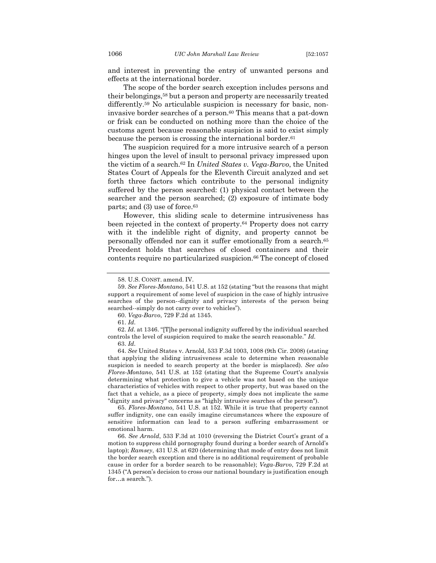and interest in preventing the entry of unwanted persons and effects at the international border.

The scope of the border search exception includes persons and their belongings,58 but a person and property are necessarily treated differently.<sup>59</sup> No articulable suspicion is necessary for basic, noninvasive border searches of a person.<sup>60</sup> This means that a pat-down or frisk can be conducted on nothing more than the choice of the customs agent because reasonable suspicion is said to exist simply because the person is crossing the international border.61

The suspicion required for a more intrusive search of a person hinges upon the level of insult to personal privacy impressed upon the victim of a search.62 In *United States v. Vega-Barvo*, the United States Court of Appeals for the Eleventh Circuit analyzed and set forth three factors which contribute to the personal indignity suffered by the person searched: (1) physical contact between the searcher and the person searched; (2) exposure of intimate body parts; and (3) use of force.63

However, this sliding scale to determine intrusiveness has been rejected in the context of property.64 Property does not carry with it the indelible right of dignity, and property cannot be personally offended nor can it suffer emotionally from a search.65 Precedent holds that searches of closed containers and their contents require no particularized suspicion.<sup>66</sup> The concept of closed

60. *Vega-Barvo*, 729 F.2d at 1345.

64. *See* United States v. Arnold, 533 F.3d 1003, 1008 (9th Cir. 2008) (stating

that applying the sliding intrusiveness scale to determine when reasonable suspicion is needed to search property at the border is misplaced). *See also Flores-Montano*, 541 U.S. at 152 (stating that the Supreme Court's analysis determining what protection to give a vehicle was not based on the unique characteristics of vehicles with respect to other property, but was based on the fact that a vehicle, as a piece of property, simply does not implicate the same "dignity and privacy" concerns as "highly intrusive searches of the person").

65. *Flores-Montano*, 541 U.S. at 152. While it is true that property cannot suffer indignity, one can easily imagine circumstances where the exposure of sensitive information can lead to a person suffering embarrassment or emotional harm.

66. *See Arnold*, 533 F.3d at 1010 (reversing the District Court's grant of a motion to suppress child pornography found during a border search of Arnold's laptop); *Ramsey*, 431 U.S. at 620 (determining that mode of entry does not limit the border search exception and there is no additional requirement of probable cause in order for a border search to be reasonable); *Vega-Barvo*, 729 F.2d at 1345 ("A person's decision to cross our national boundary is justification enough for…a search.").

<sup>58.</sup> U.S. CONST. amend. IV.

<sup>59.</sup> *See Flores-Montano*, 541 U.S. at 152 (stating "but the reasons that might support a requirement of some level of suspicion in the case of highly intrusive searches of the person--dignity and privacy interests of the person being searched--simply do not carry over to vehicles").

<sup>61.</sup> *Id.*

<sup>62.</sup> *Id.* at 1346. "[T]he personal indignity suffered by the individual searched controls the level of suspicion required to make the search reasonable." *Id.* 63. *Id.*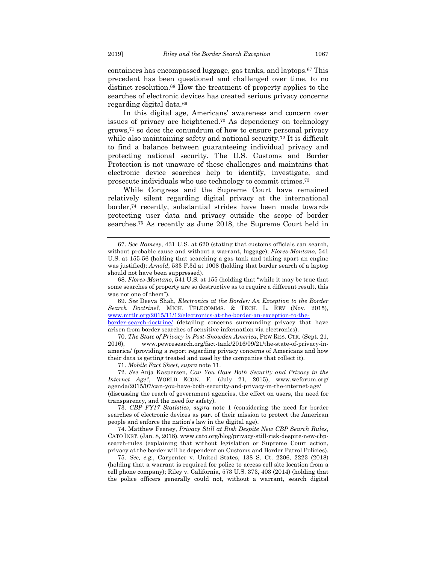containers has encompassed luggage, gas tanks, and laptops.67 This precedent has been questioned and challenged over time, to no distinct resolution.68 How the treatment of property applies to the searches of electronic devices has created serious privacy concerns regarding digital data.69

In this digital age, Americans' awareness and concern over issues of privacy are heightened.70 As dependency on technology grows,71 so does the conundrum of how to ensure personal privacy while also maintaining safety and national security.<sup>72</sup> It is difficult to find a balance between guaranteeing individual privacy and protecting national security. The U.S. Customs and Border Protection is not unaware of these challenges and maintains that electronic device searches help to identify, investigate, and prosecute individuals who use technology to commit crimes.73

While Congress and the Supreme Court have remained relatively silent regarding digital privacy at the international border,74 recently, substantial strides have been made towards protecting user data and privacy outside the scope of border searches.75 As recently as June 2018, the Supreme Court held in

69. *See* Deeva Shah, *Electronics at the Border: An Exception to the Border Search Doctrine?*, MICH. TELECOMMS. & TECH. L. REV (Nov. 2015), www.mttlr.org/2015/11/12/electronics-at-the-border-an-exception-to-the-

border-search-doctrine/ (detailing concerns surrounding privacy that have arisen from border searches of sensitive information via electronics).

70. *The State of Privacy in Post-Snowden America*, PEW RES. CTR. (Sept. 21, 2016), www.pewresearch.org/fact-tank/2016/09/21/the-state-of-privacy-inamerica/ (providing a report regarding privacy concerns of Americans and how their data is getting treated and used by the companies that collect it).

71. *Mobile Fact Sheet*, *supra* note 11.

72. *See* Anja Kaspersen, *Can You Have Both Security and Privacy in the Internet Age?*, WORLD ECON. F. (July 21, 2015), www.weforum.org/ agenda/2015/07/can-you-have-both-security-and-privacy-in-the-internet-age/ (discussing the reach of government agencies, the effect on users, the need for transparency, and the need for safety).

73. *CBP FY17 Statistics*, *supra* note 1 (considering the need for border searches of electronic devices as part of their mission to protect the American people and enforce the nation's law in the digital age).

74. Matthew Feeney, *Privacy Still at Risk Despite New CBP Search Rules*, CATO INST. (Jan. 8, 2018), www.cato.org/blog/privacy-still-risk-despite-new-cbpsearch-rules (explaining that without legislation or Supreme Court action, privacy at the border will be dependent on Customs and Border Patrol Policies).

75. *See, e.g.*, Carpenter v. United States, 138 S. Ct. 2206, 2223 (2018) (holding that a warrant is required for police to access cell site location from a cell phone company); Riley v. California, 573 U.S. 373, 403 (2014) (holding that the police officers generally could not, without a warrant, search digital

<sup>67.</sup> *See Ramsey*, 431 U.S. at 620 (stating that customs officials can search, without probable cause and without a warrant, luggage); *Flores-Montano*, 541 U.S. at 155-56 (holding that searching a gas tank and taking apart an engine was justified); *Arnold*, 533 F.3d at 1008 (holding that border search of a laptop should not have been suppressed).

<sup>68.</sup> *Flores-Montano*, 541 U.S. at 155 (holding that "while it may be true that some searches of property are so destructive as to require a different result, this was not one of them").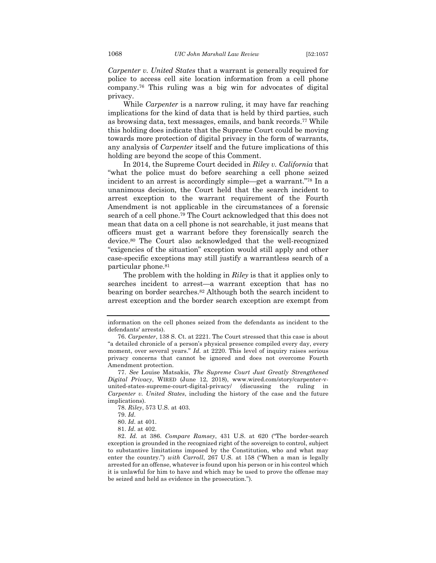*Carpenter v. United States* that a warrant is generally required for police to access cell site location information from a cell phone company.76 This ruling was a big win for advocates of digital privacy.

While *Carpenter* is a narrow ruling, it may have far reaching implications for the kind of data that is held by third parties, such as browsing data, text messages, emails, and bank records.77 While this holding does indicate that the Supreme Court could be moving towards more protection of digital privacy in the form of warrants, any analysis of *Carpenter* itself and the future implications of this holding are beyond the scope of this Comment.

In 2014, the Supreme Court decided in *Riley v. California* that "what the police must do before searching a cell phone seized incident to an arrest is accordingly simple—get a warrant."78 In a unanimous decision, the Court held that the search incident to arrest exception to the warrant requirement of the Fourth Amendment is not applicable in the circumstances of a forensic search of a cell phone.79 The Court acknowledged that this does not mean that data on a cell phone is not searchable, it just means that officers must get a warrant before they forensically search the device.80 The Court also acknowledged that the well-recognized "exigencies of the situation" exception would still apply and other case-specific exceptions may still justify a warrantless search of a particular phone.81

The problem with the holding in *Riley* is that it applies only to searches incident to arrest—a warrant exception that has no bearing on border searches.82 Although both the search incident to arrest exception and the border search exception are exempt from

information on the cell phones seized from the defendants as incident to the defendants' arrests).

<sup>76.</sup> *Carpenter*, 138 S. Ct. at 2221. The Court stressed that this case is about "a detailed chronicle of a person's physical presence compiled every day, every moment, over several years." *Id.* at 2220. This level of inquiry raises serious privacy concerns that cannot be ignored and does not overcome Fourth Amendment protection.

<sup>77.</sup> *See* Louise Matsakis, *The Supreme Court Just Greatly Strengthened Digital Privacy*, WIRED (June 12, 2018), www.wired.com/story/carpenter-vunited-states-supreme-court-digital-privacy/ (discussing the ruling in *Carpenter v. United States*, including the history of the case and the future implications).

<sup>78.</sup> *Riley*, 573 U.S. at 403.

<sup>79.</sup> *Id.*

<sup>80.</sup> *Id.* at 401.

<sup>81.</sup> *Id.* at 402.

<sup>82.</sup> *Id.* at 386. *Compare Ramsey*, 431 U.S. at 620 ("The border-search exception is grounded in the recognized right of the sovereign to control, subject to substantive limitations imposed by the Constitution, who and what may enter the country.") *with Carroll*, 267 U.S. at 158 ("When a man is legally arrested for an offense, whatever is found upon his person or in his control which it is unlawful for him to have and which may be used to prove the offense may be seized and held as evidence in the prosecution.").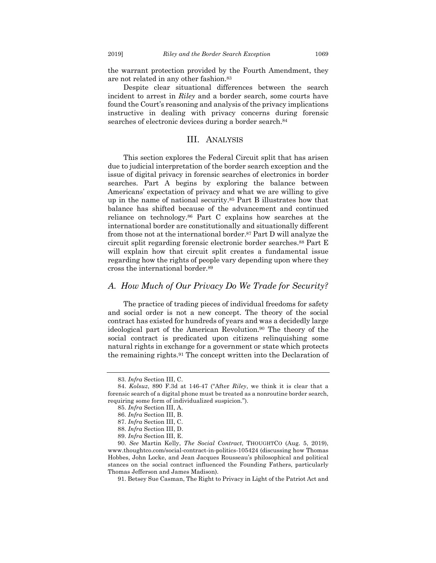the warrant protection provided by the Fourth Amendment, they are not related in any other fashion.83

Despite clear situational differences between the search incident to arrest in *Riley* and a border search, some courts have found the Court's reasoning and analysis of the privacy implications instructive in dealing with privacy concerns during forensic searches of electronic devices during a border search.<sup>84</sup>

## III. ANALYSIS

This section explores the Federal Circuit split that has arisen due to judicial interpretation of the border search exception and the issue of digital privacy in forensic searches of electronics in border searches. Part A begins by exploring the balance between Americans' expectation of privacy and what we are willing to give up in the name of national security.85 Part B illustrates how that balance has shifted because of the advancement and continued reliance on technology.86 Part C explains how searches at the international border are constitutionally and situationally different from those not at the international border.87 Part D will analyze the circuit split regarding forensic electronic border searches.88 Part E will explain how that circuit split creates a fundamental issue regarding how the rights of people vary depending upon where they cross the international border.89

### *A. How Much of Our Privacy Do We Trade for Security?*

The practice of trading pieces of individual freedoms for safety and social order is not a new concept. The theory of the social contract has existed for hundreds of years and was a decidedly large ideological part of the American Revolution.90 The theory of the social contract is predicated upon citizens relinquishing some natural rights in exchange for a government or state which protects the remaining rights.91 The concept written into the Declaration of

<sup>83.</sup> *Infra* Section III, C.

<sup>84.</sup> *Kolsuz*, 890 F.3d at 146-47 ("After *Riley*, we think it is clear that a forensic search of a digital phone must be treated as a nonroutine border search, requiring some form of individualized suspicion.").

<sup>85.</sup> *Infra* Section III, A.

<sup>86.</sup> *Infra* Section III, B.

<sup>87.</sup> *Infra* Section III, C.

<sup>88.</sup> *Infra* Section III, D.

<sup>89.</sup> *Infra* Section III, E.

<sup>90.</sup> *See* Martin Kelly, *The Social Contract*, THOUGHTCO (Aug. 5, 2019), www.thoughtco.com/social-contract-in-politics-105424 (discussing how Thomas Hobbes, John Locke, and Jean Jacques Rousseau's philosophical and political stances on the social contract influenced the Founding Fathers, particularly Thomas Jefferson and James Madison).

<sup>91.</sup> Betsey Sue Casman, The Right to Privacy in Light of the Patriot Act and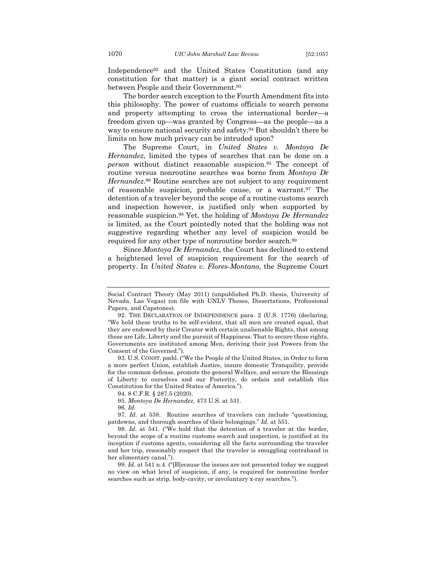Independence92 and the United States Constitution (and any constitution for that matter) is a giant social contract written between People and their Government.93

The border search exception to the Fourth Amendment fits into this philosophy. The power of customs officials to search persons and property attempting to cross the international border—a freedom given up—was granted by Congress—as the people—as a way to ensure national security and safety.94 But shouldn't there be limits on how much privacy can be intruded upon?

The Supreme Court, in *United States v. Montoya De Hernandez,* limited the types of searches that can be done on a *person* without distinct reasonable suspicion.95 The concept of routine versus nonroutine searches was borne from *Montoya De Hernandez*.96 Routine searches are not subject to any requirement of reasonable suspicion, probable cause, or a warrant.97 The detention of a traveler beyond the scope of a routine customs search and inspection however, is justified only when supported by reasonable suspicion.98 Yet, the holding of *Montoya De Hernandez* is limited, as the Court pointedly noted that the holding was not suggestive regarding whether any level of suspicion would be required for any other type of nonroutine border search.99

Since *Montoya De Hernandez*, the Court has declined to extend a heightened level of suspicion requirement for the search of property. In *United States v. Flores-Montano*, the Supreme Court

93. U.S. CONST. pmbl. ("We the People of the United States, in Order to form a more perfect Union, establish Justice, insure domestic Tranquility, provide for the common defense, promote the general Welfare, and secure the Blessings of Liberty to ourselves and our Posterity, do ordain and establish this Constitution for the United States of America.").

94. 8 C.F.R. § 287.5 (2020).

96. *Id.*

97. *Id.* at 538. Routine searches of travelers can include "questioning, patdowns, and thorough searches of their belongings." *Id*. at 551.

98. *Id.* at 541. ("We hold that the detention of a traveler at the border, beyond the scope of a routine customs search and inspection, is justified at its inception if customs agents, considering all the facts surrounding the traveler and her trip, reasonably suspect that the traveler is smuggling contraband in her alimentary canal.").

99. *Id.* at 541 n.4. ("[B]ecause the issues are not presented today we suggest no view on what level of suspicion, if any, is required for nonroutine border searches such as strip, body-cavity, or involuntary x-ray searches.").

Social Contract Theory (May 2011) (unpublished Ph.D. thesis, University of Nevada, Las Vegas) (on file with UNLV Theses, Dissertations, Professional Papers, and Capstones).

<sup>92.</sup> THE DECLARATION OF INDEPENDENCE para. 2 (U.S. 1776) (declaring, "We hold these truths to be self-evident, that all men are created equal, that they are endowed by their Creator with certain unalienable Rights, that among these are Life, Liberty and the pursuit of Happiness. That to secure these rights, Governments are instituted among Men, deriving their just Powers from the Consent of the Governed.").

<sup>95.</sup> *Montoya De Hernandez*, 473 U.S. at 531.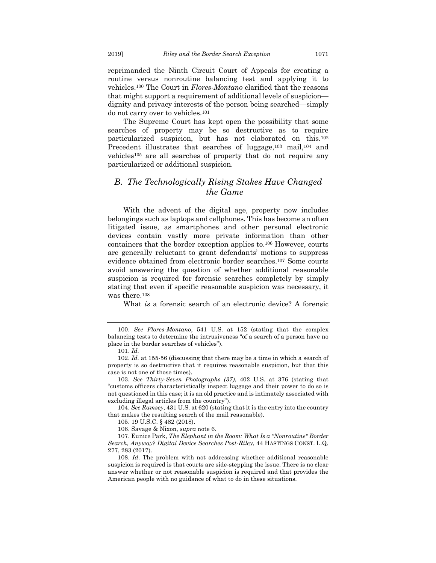reprimanded the Ninth Circuit Court of Appeals for creating a routine versus nonroutine balancing test and applying it to vehicles.100 The Court in *Flores-Montano* clarified that the reasons that might support a requirement of additional levels of suspicion dignity and privacy interests of the person being searched—simply do not carry over to vehicles.101

The Supreme Court has kept open the possibility that some searches of property may be so destructive as to require particularized suspicion, but has not elaborated on this.102 Precedent illustrates that searches of luggage,<sup>103</sup> mail,<sup>104</sup> and vehicles105 are all searches of property that do not require any particularized or additional suspicion.

## *B. The Technologically Rising Stakes Have Changed the Game*

With the advent of the digital age, property now includes belongings such as laptops and cellphones. This has become an often litigated issue, as smartphones and other personal electronic devices contain vastly more private information than other containers that the border exception applies to.106 However, courts are generally reluctant to grant defendants' motions to suppress evidence obtained from electronic border searches.107 Some courts avoid answering the question of whether additional reasonable suspicion is required for forensic searches completely by simply stating that even if specific reasonable suspicion was necessary, it was there.108

What *is* a forensic search of an electronic device? A forensic

<sup>100.</sup> *See Flores-Montano*, 541 U.S. at 152 (stating that the complex balancing tests to determine the intrusiveness "of a search of a person have no place in the border searches of vehicles").

<sup>101.</sup> *Id.*

<sup>102.</sup> *Id.* at 155-56 (discussing that there may be a time in which a search of property is so destructive that it requires reasonable suspicion, but that this case is not one of those times).

<sup>103.</sup> *See Thirty-Seven Photographs (37)*, 402 U.S. at 376 (stating that "customs officers characteristically inspect luggage and their power to do so is not questioned in this case; it is an old practice and is intimately associated with excluding illegal articles from the country").

<sup>104.</sup> *See Ramsey*, 431 U.S. at 620 (stating that it is the entry into the country that makes the resulting search of the mail reasonable).

<sup>105.</sup> 19 U.S.C. § 482 (2018).

<sup>106.</sup> Savage & Nixon, *supra* note 6.

<sup>107.</sup> Eunice Park, *The Elephant in the Room: What Is a "Nonroutine" Border Search, Anyway? Digital Device Searches Post-Riley*, 44 HASTINGS CONST. L.Q. 277, 283 (2017).

<sup>108.</sup> *Id.* The problem with not addressing whether additional reasonable suspicion is required is that courts are side-stepping the issue. There is no clear answer whether or not reasonable suspicion is required and that provides the American people with no guidance of what to do in these situations.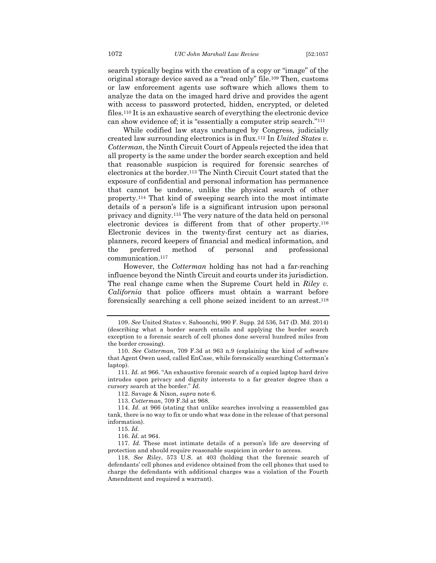search typically begins with the creation of a copy or "image" of the original storage device saved as a "read only" file.109 Then, customs or law enforcement agents use software which allows them to analyze the data on the imaged hard drive and provides the agent with access to password protected, hidden, encrypted, or deleted files.110 It is an exhaustive search of everything the electronic device can show evidence of; it is "essentially a computer strip search."111

While codified law stays unchanged by Congress, judicially created law surrounding electronics is in flux.112 In *United States v. Cotterman*, the Ninth Circuit Court of Appeals rejected the idea that all property is the same under the border search exception and held that reasonable suspicion is required for forensic searches of electronics at the border.113 The Ninth Circuit Court stated that the exposure of confidential and personal information has permanence that cannot be undone, unlike the physical search of other property.114 That kind of sweeping search into the most intimate details of a person's life is a significant intrusion upon personal privacy and dignity.115 The very nature of the data held on personal electronic devices is different from that of other property.116 Electronic devices in the twenty-first century act as diaries, planners, record keepers of financial and medical information, and the preferred method of personal and professional communication.117

However, the *Cotterman* holding has not had a far-reaching influence beyond the Ninth Circuit and courts under its jurisdiction. The real change came when the Supreme Court held in *Riley v. California* that police officers must obtain a warrant before forensically searching a cell phone seized incident to an arrest.118

112. Savage & Nixon, *supra* note 6.

113. *Cotterman*, 709 F.3d at 968.

<sup>109.</sup> *See* United States v. Saboonchi, 990 F. Supp. 2d 536, 547 (D. Md. 2014) (describing what a border search entails and applying the border search exception to a forensic search of cell phones done several hundred miles from the border crossing).

<sup>110.</sup> *See Cotterman*, 709 F.3d at 963 n.9 (explaining the kind of software that Agent Owen used, called EnCase, while forensically searching Cotterman's laptop).

<sup>111.</sup> *Id.* at 966. "An exhaustive forensic search of a copied laptop hard drive intrudes upon privacy and dignity interests to a far greater degree than a cursory search at the border." *Id.*

<sup>114.</sup> *Id.* at 966 (stating that unlike searches involving a reassembled gas tank, there is no way to fix or undo what was done in the release of that personal information).

<sup>115.</sup> *Id.*

<sup>116.</sup> *Id.* at 964.

<sup>117.</sup> *Id.* These most intimate details of a person's life are deserving of protection and should require reasonable suspicion in order to access.

<sup>118.</sup> *See Riley*, 573 U.S. at 403 (holding that the forensic search of defendants' cell phones and evidence obtained from the cell phones that used to charge the defendants with additional charges was a violation of the Fourth Amendment and required a warrant).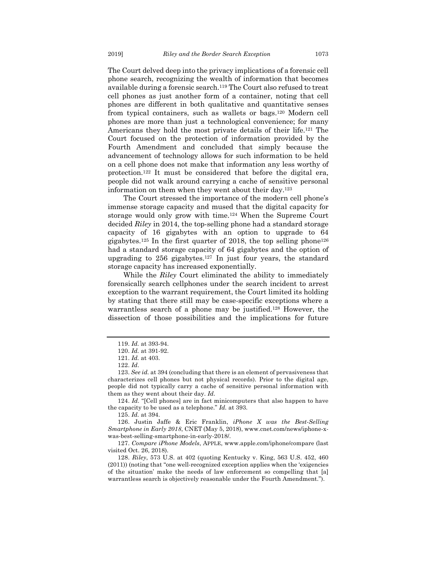The Court delved deep into the privacy implications of a forensic cell phone search, recognizing the wealth of information that becomes available during a forensic search.119 The Court also refused to treat cell phones as just another form of a container, noting that cell phones are different in both qualitative and quantitative senses from typical containers, such as wallets or bags.120 Modern cell phones are more than just a technological convenience; for many Americans they hold the most private details of their life.121 The Court focused on the protection of information provided by the Fourth Amendment and concluded that simply because the advancement of technology allows for such information to be held on a cell phone does not make that information any less worthy of protection.122 It must be considered that before the digital era, people did not walk around carrying a cache of sensitive personal information on them when they went about their day.123

The Court stressed the importance of the modern cell phone's immense storage capacity and mused that the digital capacity for storage would only grow with time.124 When the Supreme Court decided *Riley* in 2014, the top-selling phone had a standard storage capacity of 16 gigabytes with an option to upgrade to 64 gigabytes.125 In the first quarter of 2018, the top selling phone126 had a standard storage capacity of 64 gigabytes and the option of upgrading to 256 gigabytes.127 In just four years, the standard storage capacity has increased exponentially.

While the *Riley* Court eliminated the ability to immediately forensically search cellphones under the search incident to arrest exception to the warrant requirement, the Court limited its holding by stating that there still may be case-specific exceptions where a warrantless search of a phone may be justified.128 However, the dissection of those possibilities and the implications for future

124. *Id.* "[Cell phones] are in fact minicomputers that also happen to have the capacity to be used as a telephone." *Id.* at 393.

125. *Id.* at 394.

126. Justin Jaffe & Eric Franklin, *iPhone X was the Best-Selling Smartphone in Early 2018*, CNET (May 5, 2018), www.cnet.com/news/iphone-xwas-best-selling-smartphone-in-early-2018/.

127. *Compare iPhone Models*, APPLE, www.apple.com/iphone/compare (last visited Oct. 26, 2018).

128. *Riley*, 573 U.S. at 402 (quoting Kentucky v. King, 563 U.S. 452, 460 (2011)) (noting that "one well-recognized exception applies when the 'exigencies of the situation' make the needs of law enforcement so compelling that [a] warrantless search is objectively reasonable under the Fourth Amendment.").

<sup>119.</sup> *Id.* at 393-94.

<sup>120.</sup> *Id.* at 391-92.

<sup>121.</sup> *Id.* at 403.

<sup>122.</sup> *Id*.

<sup>123.</sup> *See id.* at 394 (concluding that there is an element of pervasiveness that characterizes cell phones but not physical records). Prior to the digital age, people did not typically carry a cache of sensitive personal information with them as they went about their day. *Id.*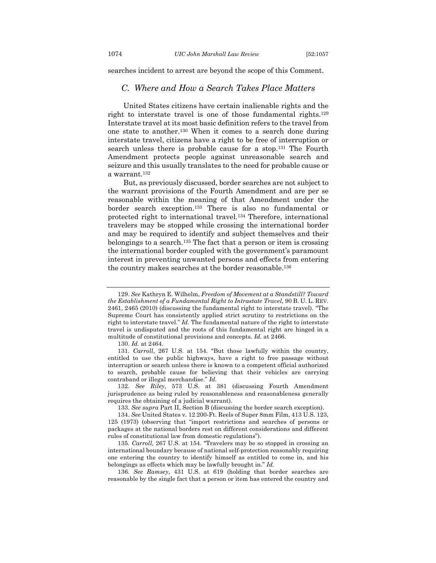searches incident to arrest are beyond the scope of this Comment.

## *C. Where and How a Search Takes Place Matters*

United States citizens have certain inalienable rights and the right to interstate travel is one of those fundamental rights.129 Interstate travel at its most basic definition refers to the travel from one state to another.130 When it comes to a search done during interstate travel, citizens have a right to be free of interruption or search unless there is probable cause for a stop.131 The Fourth Amendment protects people against unreasonable search and seizure and this usually translates to the need for probable cause or a warrant.132

But, as previously discussed, border searches are not subject to the warrant provisions of the Fourth Amendment and are per se reasonable within the meaning of that Amendment under the border search exception.133 There is also no fundamental or protected right to international travel.134 Therefore, international travelers may be stopped while crossing the international border and may be required to identify and subject themselves and their belongings to a search.135 The fact that a person or item is crossing the international border coupled with the government's paramount interest in preventing unwanted persons and effects from entering the country makes searches at the border reasonable.136

130. *Id.* at 2464.

131. *Carroll*, 267 U.S. at 154. "But those lawfully within the country, entitled to use the public highways, have a right to free passage without interruption or search unless there is known to a competent official authorized to search, probable cause for believing that their vehicles are carrying contraband or illegal merchandise." *Id.*

132. *See Riley*, 573 U.S. at 381 (discussing Fourth Amendment jurisprudence as being ruled by reasonableness and reasonableness generally requires the obtaining of a judicial warrant).

133. *See supra* Part II, Section B (discussing the border search exception).

135. *Carroll*, 267 U.S. at 154. "Travelers may be so stopped in crossing an international boundary because of national self-protection reasonably requiring one entering the country to identify himself as entitled to come in, and his belongings as effects which may be lawfully brought in." *Id.*

136. *See Ramsey*, 431 U.S. at 619 (holding that border searches are reasonable by the single fact that a person or item has entered the country and

<sup>129.</sup> *See* Kathryn E. Wilhelm, *Freedom of Movement at a Standstill? Toward the Establishment of a Fundamental Right to Intrastate Travel*, 90 B. U. L. REV. 2461, 2465 (2010) (discussing the fundamental right to interstate travel). "The Supreme Court has consistently applied strict scrutiny to restrictions on the right to interstate travel." *Id.* The fundamental nature of the right to interstate travel is undisputed and the roots of this fundamental right are hinged in a multitude of constitutional provisions and concepts. *Id.* at 2466.

<sup>134.</sup> *See* United States v. 12 200-Ft. Reels of Super 8mm Film, 413 U.S. 123, 125 (1973) (observing that "import restrictions and searches of persons or packages at the national borders rest on different considerations and different rules of constitutional law from domestic regulations").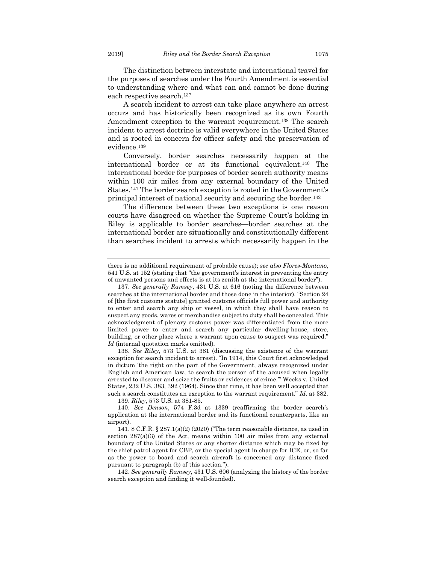The distinction between interstate and international travel for the purposes of searches under the Fourth Amendment is essential to understanding where and what can and cannot be done during each respective search.137

A search incident to arrest can take place anywhere an arrest occurs and has historically been recognized as its own Fourth Amendment exception to the warrant requirement.138 The search incident to arrest doctrine is valid everywhere in the United States and is rooted in concern for officer safety and the preservation of evidence.139

Conversely, border searches necessarily happen at the international border or at its functional equivalent.140 The international border for purposes of border search authority means within 100 air miles from any external boundary of the United States.141 The border search exception is rooted in the Government's principal interest of national security and securing the border.142

The difference between these two exceptions is one reason courts have disagreed on whether the Supreme Court's holding in Riley is applicable to border searches—border searches at the international border are situationally and constitutionally different than searches incident to arrests which necessarily happen in the

138. *See Riley*, 573 U.S. at 381 (discussing the existence of the warrant exception for search incident to arrest). "In 1914, this Court first acknowledged in dictum 'the right on the part of the Government, always recognized under English and American law, to search the person of the accused when legally arrested to discover and seize the fruits or evidences of crime.'" Weeks v. United States, 232 U.S. 383, 392 (1964). Since that time, it has been well accepted that such a search constitutes an exception to the warrant requirement." *Id.* at 382.

139. *Riley*, 573 U.S. at 381-85.

there is no additional requirement of probable cause); *see also Flores-Montano*, 541 U.S. at 152 (stating that "the government's interest in preventing the entry of unwanted persons and effects is at its zenith at the international border").

<sup>137.</sup> *See generally Ramsey*, 431 U.S. at 616 (noting the difference between searches at the international border and those done in the interior). "Section 24 of [the first customs statute] granted customs officials full power and authority to enter and search any ship or vessel, in which they shall have reason to suspect any goods, wares or merchandise subject to duty shall be concealed. This acknowledgment of plenary customs power was differentiated from the more limited power to enter and search any particular dwelling-house, store, building, or other place where a warrant upon cause to suspect was required." *Id* (internal quotation marks omitted)*.*

<sup>140.</sup> *See Denson*, 574 F.3d at 1339 (reaffirming the border search's application at the international border and its functional counterparts, like an airport).

<sup>141.</sup> 8 C.F.R. § 287.1(a)(2) (2020) ("The term reasonable distance, as used in section 287(a)(3) of the Act, means within 100 air miles from any external boundary of the United States or any shorter distance which may be fixed by the chief patrol agent for CBP, or the special agent in charge for ICE, or, so far as the power to board and search aircraft is concerned any distance fixed pursuant to paragraph (b) of this section.").

<sup>142.</sup> *See generally Ramsey*, 431 U.S. 606 (analyzing the history of the border search exception and finding it well-founded).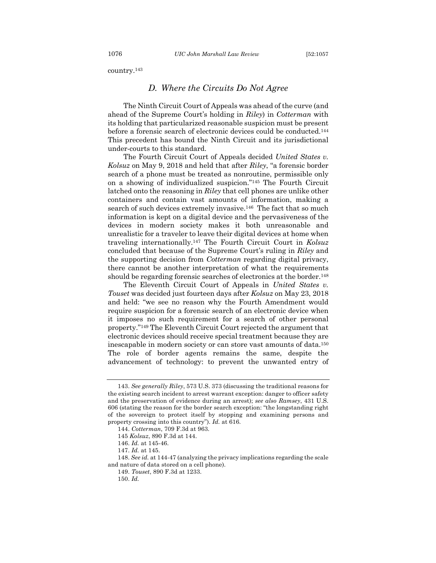country.143

#### *D. Where the Circuits Do Not Agree*

The Ninth Circuit Court of Appeals was ahead of the curve (and ahead of the Supreme Court's holding in *Riley*) in *Cotterman* with its holding that particularized reasonable suspicion must be present before a forensic search of electronic devices could be conducted.144 This precedent has bound the Ninth Circuit and its jurisdictional under-courts to this standard.

The Fourth Circuit Court of Appeals decided *United States v. Kolsuz* on May 9, 2018 and held that after *Riley*, "a forensic border search of a phone must be treated as nonroutine, permissible only on a showing of individualized suspicion."145 The Fourth Circuit latched onto the reasoning in *Riley* that cell phones are unlike other containers and contain vast amounts of information, making a search of such devices extremely invasive.146 The fact that so much information is kept on a digital device and the pervasiveness of the devices in modern society makes it both unreasonable and unrealistic for a traveler to leave their digital devices at home when traveling internationally.147 The Fourth Circuit Court in *Kolsuz*  concluded that because of the Supreme Court's ruling in *Riley* and the supporting decision from *Cotterman* regarding digital privacy, there cannot be another interpretation of what the requirements should be regarding forensic searches of electronics at the border.<sup>148</sup>

The Eleventh Circuit Court of Appeals in *United States v. Touset* was decided just fourteen days after *Kolsuz* on May 23, 2018 and held: "we see no reason why the Fourth Amendment would require suspicion for a forensic search of an electronic device when it imposes no such requirement for a search of other personal property."149 The Eleventh Circuit Court rejected the argument that electronic devices should receive special treatment because they are inescapable in modern society or can store vast amounts of data.150 The role of border agents remains the same, despite the advancement of technology: to prevent the unwanted entry of

<sup>143.</sup> *See generally Riley*, 573 U.S. 373 (discussing the traditional reasons for the existing search incident to arrest warrant exception: danger to officer safety and the preservation of evidence during an arrest); *see also Ramsey*, 431 U.S. 606 (stating the reason for the border search exception: "the longstanding right of the sovereign to protect itself by stopping and examining persons and property crossing into this country"). *Id.* at 616.

<sup>144.</sup> *Cotterman*, 709 F.3d at 963.

<sup>145</sup> *Kolsuz*, 890 F.3d at 144.

<sup>146.</sup> *Id.* at 145-46.

<sup>147.</sup> *Id.* at 145.

<sup>148.</sup> *See id.* at 144-47 (analyzing the privacy implications regarding the scale and nature of data stored on a cell phone).

<sup>149.</sup> *Touset*, 890 F.3d at 1233.

<sup>150.</sup> *Id.*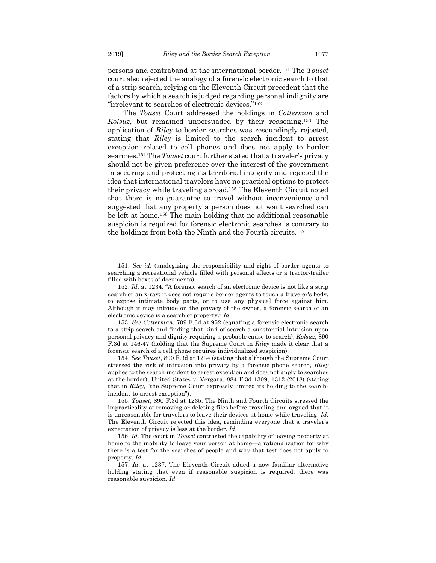persons and contraband at the international border.151 The *Touset* court also rejected the analogy of a forensic electronic search to that of a strip search, relying on the Eleventh Circuit precedent that the factors by which a search is judged regarding personal indignity are "irrelevant to searches of electronic devices."152

The *Touset* Court addressed the holdings in *Cotterman* and *Kolsuz*, but remained unpersuaded by their reasoning.153 The application of *Riley* to border searches was resoundingly rejected, stating that *Riley* is limited to the search incident to arrest exception related to cell phones and does not apply to border searches.154 The *Touset* court further stated that a traveler's privacy should not be given preference over the interest of the government in securing and protecting its territorial integrity and rejected the idea that international travelers have no practical options to protect their privacy while traveling abroad.155 The Eleventh Circuit noted that there is no guarantee to travel without inconvenience and suggested that any property a person does not want searched can be left at home.156 The main holding that no additional reasonable suspicion is required for forensic electronic searches is contrary to the holdings from both the Ninth and the Fourth circuits.157

<sup>151.</sup> *See id.* (analogizing the responsibility and right of border agents to searching a recreational vehicle filled with personal effects or a tractor-trailer filled with boxes of documents).

<sup>152.</sup> *Id.* at 1234. "A forensic search of an electronic device is not like a strip search or an x-ray; it does not require border agents to touch a traveler's body, to expose intimate body parts, or to use any physical force against him. Although it may intrude on the privacy of the owner, a forensic search of an electronic device is a search of property." *Id.*

<sup>153.</sup> *See Cotterman*, 709 F.3d at 952 (equating a forensic electronic search to a strip search and finding that kind of search a substantial intrusion upon personal privacy and dignity requiring a probable cause to search); *Kolsuz*, 890 F.3d at 146-47 (holding that the Supreme Court in *Riley* made it clear that a forensic search of a cell phone requires individualized suspicion).

<sup>154.</sup> *See Touset*, 890 F.3d at 1234 (stating that although the Supreme Court stressed the risk of intrusion into privacy by a forensic phone search, *Riley* applies to the search incident to arrest exception and does not apply to searches at the border); United States v. Vergara, 884 F.3d 1309, 1312 (2018) (stating that in *Riley*, "the Supreme Court expressly limited its holding to the searchincident-to-arrest exception").

<sup>155.</sup> *Touset*, 890 F.3d at 1235. The Ninth and Fourth Circuits stressed the impracticality of removing or deleting files before traveling and argued that it is unreasonable for travelers to leave their devices at home while traveling. *Id.*  The Eleventh Circuit rejected this idea, reminding everyone that a traveler's expectation of privacy is less at the border. *Id.* 

<sup>156.</sup> *Id.* The court in *Touset* contrasted the capability of leaving property at home to the inability to leave your person at home—a rationalization for why there is a test for the searches of people and why that test does not apply to property. *Id.*

<sup>157.</sup> *Id.* at 1237. The Eleventh Circuit added a now familiar alternative holding stating that even if reasonable suspicion is required, there was reasonable suspicion. *Id.*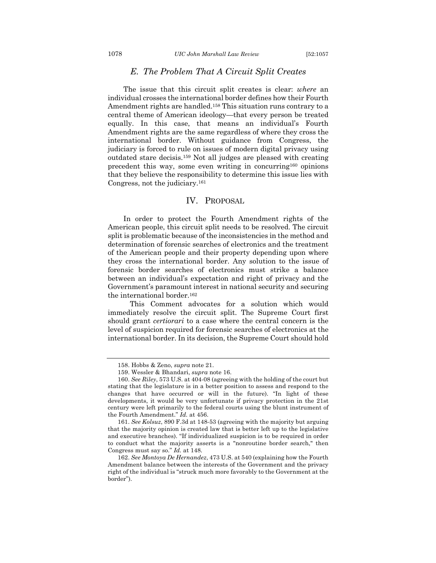## *E. The Problem That A Circuit Split Creates*

The issue that this circuit split creates is clear: *where* an individual crosses the international border defines how their Fourth Amendment rights are handled.158 This situation runs contrary to a central theme of American ideology—that every person be treated equally. In this case, that means an individual's Fourth Amendment rights are the same regardless of where they cross the international border. Without guidance from Congress, the judiciary is forced to rule on issues of modern digital privacy using outdated stare decisis.159 Not all judges are pleased with creating precedent this way, some even writing in concurring160 opinions that they believe the responsibility to determine this issue lies with Congress, not the judiciary.161

#### IV. PROPOSAL

In order to protect the Fourth Amendment rights of the American people, this circuit split needs to be resolved. The circuit split is problematic because of the inconsistencies in the method and determination of forensic searches of electronics and the treatment of the American people and their property depending upon where they cross the international border. Any solution to the issue of forensic border searches of electronics must strike a balance between an individual's expectation and right of privacy and the Government's paramount interest in national security and securing the international border.162

This Comment advocates for a solution which would immediately resolve the circuit split. The Supreme Court first should grant *certiorari* to a case where the central concern is the level of suspicion required for forensic searches of electronics at the international border. In its decision, the Supreme Court should hold

<sup>158.</sup> Hobbs & Zeno, *supra* note 21.

<sup>159.</sup> Wessler & Bhandari, *supra* note 16.

<sup>160.</sup> *See Riley*, 573 U.S. at 404-08 (agreeing with the holding of the court but stating that the legislature is in a better position to assess and respond to the changes that have occurred or will in the future). "In light of these developments, it would be very unfortunate if privacy protection in the 21st century were left primarily to the federal courts using the blunt instrument of the Fourth Amendment." *Id.* at 456.

<sup>161.</sup> *See Kolsuz*, 890 F.3d at 148-53 (agreeing with the majority but arguing that the majority opinion is created law that is better left up to the legislative and executive branches). "If individualized suspicion is to be required in order to conduct what the majority asserts is a "nonroutine border search," then Congress must say so." *Id.* at 148.

<sup>162.</sup> *See Montoya De Hernandez*, 473 U.S. at 540 (explaining how the Fourth Amendment balance between the interests of the Government and the privacy right of the individual is "struck much more favorably to the Government at the border").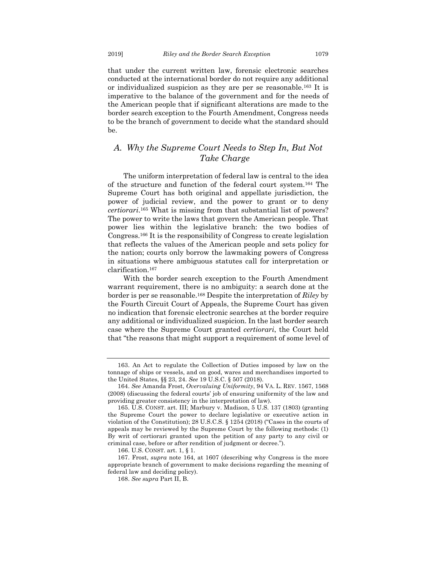that under the current written law, forensic electronic searches conducted at the international border do not require any additional or individualized suspicion as they are per se reasonable.163 It is imperative to the balance of the government and for the needs of the American people that if significant alterations are made to the border search exception to the Fourth Amendment, Congress needs to be the branch of government to decide what the standard should be.

## *A. Why the Supreme Court Needs to Step In, But Not Take Charge*

The uniform interpretation of federal law is central to the idea of the structure and function of the federal court system.164 The Supreme Court has both original and appellate jurisdiction, the power of judicial review, and the power to grant or to deny *certiorari*.165 What is missing from that substantial list of powers? The power to write the laws that govern the American people. That power lies within the legislative branch: the two bodies of Congress.166 It is the responsibility of Congress to create legislation that reflects the values of the American people and sets policy for the nation; courts only borrow the lawmaking powers of Congress in situations where ambiguous statutes call for interpretation or clarification.167

With the border search exception to the Fourth Amendment warrant requirement, there is no ambiguity: a search done at the border is per se reasonable.168 Despite the interpretation of *Riley* by the Fourth Circuit Court of Appeals, the Supreme Court has given no indication that forensic electronic searches at the border require any additional or individualized suspicion. In the last border search case where the Supreme Court granted *certiorari*, the Court held that "the reasons that might support a requirement of some level of

<sup>163.</sup> An Act to regulate the Collection of Duties imposed by law on the tonnage of ships or vessels, and on good, wares and merchandises imported to the United States, §§ 23, 24. *See* 19 U.S.C. § 507 (2018).

<sup>164.</sup> *See* Amanda Frost, *Overvaluing Uniformity*, 94 VA. L. REV. 1567, 1568 (2008) (discussing the federal courts' job of ensuring uniformity of the law and providing greater consistency in the interpretation of law).

<sup>165.</sup> U.S. CONST. art. III; Marbury v. Madison, 5 U.S. 137 (1803) (granting the Supreme Court the power to declare legislative or executive action in violation of the Constitution); 28 U.S.C.S. § 1254 (2018) ("Cases in the courts of appeals may be reviewed by the Supreme Court by the following methods: (1) By writ of certiorari granted upon the petition of any party to any civil or criminal case, before or after rendition of judgment or decree.").

<sup>166.</sup> U.S. CONST. art. 1, § 1.

<sup>167.</sup> Frost, *supra* note 164, at 1607 (describing why Congress is the more appropriate branch of government to make decisions regarding the meaning of federal law and deciding policy).

<sup>168.</sup> *See supra* Part II, B.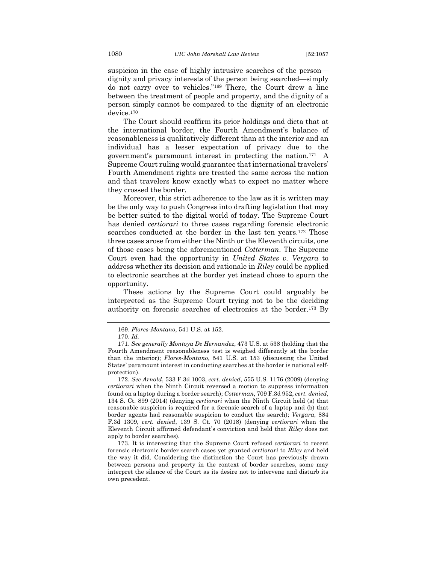suspicion in the case of highly intrusive searches of the person dignity and privacy interests of the person being searched—simply do not carry over to vehicles."169 There, the Court drew a line between the treatment of people and property, and the dignity of a person simply cannot be compared to the dignity of an electronic device.170

The Court should reaffirm its prior holdings and dicta that at the international border, the Fourth Amendment's balance of reasonableness is qualitatively different than at the interior and an individual has a lesser expectation of privacy due to the government's paramount interest in protecting the nation.171 A Supreme Court ruling would guarantee that international travelers' Fourth Amendment rights are treated the same across the nation and that travelers know exactly what to expect no matter where they crossed the border.

Moreover, this strict adherence to the law as it is written may be the only way to push Congress into drafting legislation that may be better suited to the digital world of today. The Supreme Court has denied *certiorari* to three cases regarding forensic electronic searches conducted at the border in the last ten years.172 Those three cases arose from either the Ninth or the Eleventh circuits, one of those cases being the aforementioned *Cotterman*. The Supreme Court even had the opportunity in *United States v. Vergara* to address whether its decision and rationale in *Riley* could be applied to electronic searches at the border yet instead chose to spurn the opportunity.

These actions by the Supreme Court could arguably be interpreted as the Supreme Court trying not to be the deciding authority on forensic searches of electronics at the border.173 By

<sup>169.</sup> *Flores-Montano*, 541 U.S. at 152.

<sup>170.</sup> *Id.*

<sup>171.</sup> *See generally Montoya De Hernandez*, 473 U.S. at 538 (holding that the Fourth Amendment reasonableness test is weighed differently at the border than the interior); *Flores-Montano*, 541 U.S. at 153 (discussing the United States' paramount interest in conducting searches at the border is national selfprotection).

<sup>172.</sup> *See Arnold*, 533 F.3d 1003, *cert. denied*, 555 U.S. 1176 (2009) (denying *certiorari* when the Ninth Circuit reversed a motion to suppress information found on a laptop during a border search); *Cotterman*, 709 F.3d 952, *cert. denied*, 134 S. Ct. 899 (2014) (denying *certiorari* when the Ninth Circuit held (a) that reasonable suspicion is required for a forensic search of a laptop and (b) that border agents had reasonable suspicion to conduct the search); *Vergara*, 884 F.3d 1309, *cert. denied*, 139 S. Ct. 70 (2018) (denying *certiorari* when the Eleventh Circuit affirmed defendant's conviction and held that *Riley* does not apply to border searches).

<sup>173.</sup> It is interesting that the Supreme Court refused *certiorari* to recent forensic electronic border search cases yet granted *certiorari* to *Riley* and held the way it did. Considering the distinction the Court has previously drawn between persons and property in the context of border searches, some may interpret the silence of the Court as its desire not to intervene and disturb its own precedent.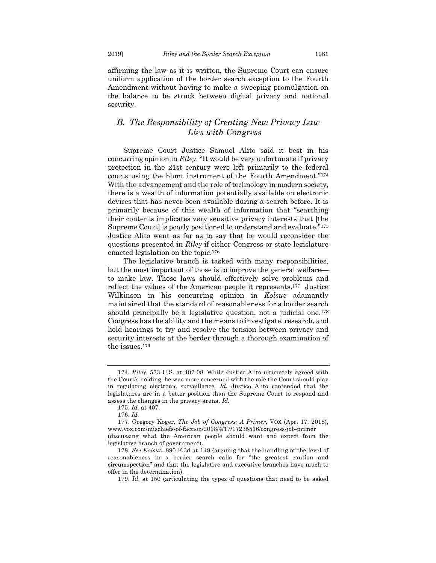affirming the law as it is written, the Supreme Court can ensure uniform application of the border search exception to the Fourth Amendment without having to make a sweeping promulgation on the balance to be struck between digital privacy and national security.

## *B. The Responsibility of Creating New Privacy Law Lies with Congress*

Supreme Court Justice Samuel Alito said it best in his concurring opinion in *Riley*: "It would be very unfortunate if privacy protection in the 21st century were left primarily to the federal courts using the blunt instrument of the Fourth Amendment."174 With the advancement and the role of technology in modern society, there is a wealth of information potentially available on electronic devices that has never been available during a search before. It is primarily because of this wealth of information that "searching their contents implicates very sensitive privacy interests that [the Supreme Court] is poorly positioned to understand and evaluate."175 Justice Alito went as far as to say that he would reconsider the questions presented in *Riley* if either Congress or state legislature enacted legislation on the topic.176

The legislative branch is tasked with many responsibilities, but the most important of those is to improve the general welfare to make law. Those laws should effectively solve problems and reflect the values of the American people it represents.177 Justice Wilkinson in his concurring opinion in *Kolsuz* adamantly maintained that the standard of reasonableness for a border search should principally be a legislative question, not a judicial one.<sup>178</sup> Congress has the ability and the means to investigate, research, and hold hearings to try and resolve the tension between privacy and security interests at the border through a thorough examination of the issues.179

<sup>174.</sup> *Riley*, 573 U.S. at 407-08. While Justice Alito ultimately agreed with the Court's holding, he was more concerned with the role the Court should play in regulating electronic surveillance. *Id.* Justice Alito contended that the legislatures are in a better position than the Supreme Court to respond and assess the changes in the privacy arena. *Id.* 

<sup>175.</sup> *Id.* at 407.

<sup>176.</sup> *Id.*

<sup>177.</sup> Gregory Koger, *The Job of Congress: A Primer*, VOX (Apr. 17, 2018), www.vox.com/mischiefs-of-faction/2018/4/17/17235516/congress-job-primer

<sup>(</sup>discussing what the American people should want and expect from the legislative branch of government).

<sup>178.</sup> *See Kolsuz*, 890 F.3d at 148 (arguing that the handling of the level of reasonableness in a border search calls for "the greatest caution and circumspection" and that the legislative and executive branches have much to offer in the determination).

<sup>179.</sup> *Id.* at 150 (articulating the types of questions that need to be asked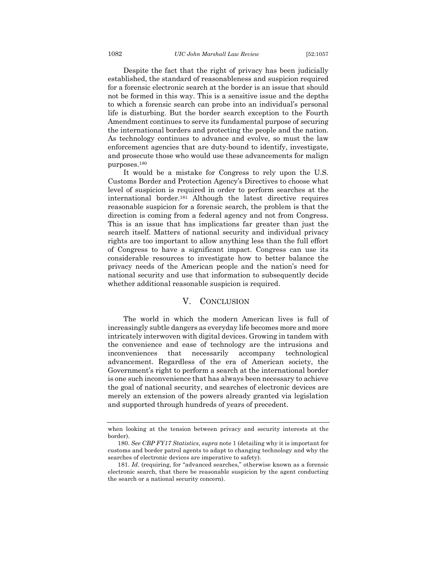Despite the fact that the right of privacy has been judicially established, the standard of reasonableness and suspicion required for a forensic electronic search at the border is an issue that should not be formed in this way. This is a sensitive issue and the depths to which a forensic search can probe into an individual's personal life is disturbing. But the border search exception to the Fourth Amendment continues to serve its fundamental purpose of securing the international borders and protecting the people and the nation. As technology continues to advance and evolve, so must the law enforcement agencies that are duty-bound to identify, investigate, and prosecute those who would use these advancements for malign purposes.180

It would be a mistake for Congress to rely upon the U.S. Customs Border and Protection Agency's Directives to choose what level of suspicion is required in order to perform searches at the international border.181 Although the latest directive requires reasonable suspicion for a forensic search, the problem is that the direction is coming from a federal agency and not from Congress. This is an issue that has implications far greater than just the search itself. Matters of national security and individual privacy rights are too important to allow anything less than the full effort of Congress to have a significant impact. Congress can use its considerable resources to investigate how to better balance the privacy needs of the American people and the nation's need for national security and use that information to subsequently decide whether additional reasonable suspicion is required.

#### V. CONCLUSION

The world in which the modern American lives is full of increasingly subtle dangers as everyday life becomes more and more intricately interwoven with digital devices. Growing in tandem with the convenience and ease of technology are the intrusions and inconveniences that necessarily accompany technological advancement. Regardless of the era of American society, the Government's right to perform a search at the international border is one such inconvenience that has always been necessary to achieve the goal of national security, and searches of electronic devices are merely an extension of the powers already granted via legislation and supported through hundreds of years of precedent.

when looking at the tension between privacy and security interests at the border).

<sup>180.</sup> *See CBP FY17 Statistics*, *supra* note 1 (detailing why it is important for customs and border patrol agents to adapt to changing technology and why the searches of electronic devices are imperative to safety).

<sup>181.</sup> *Id.* (requiring, for "advanced searches," otherwise known as a forensic electronic search, that there be reasonable suspicion by the agent conducting the search or a national security concern).